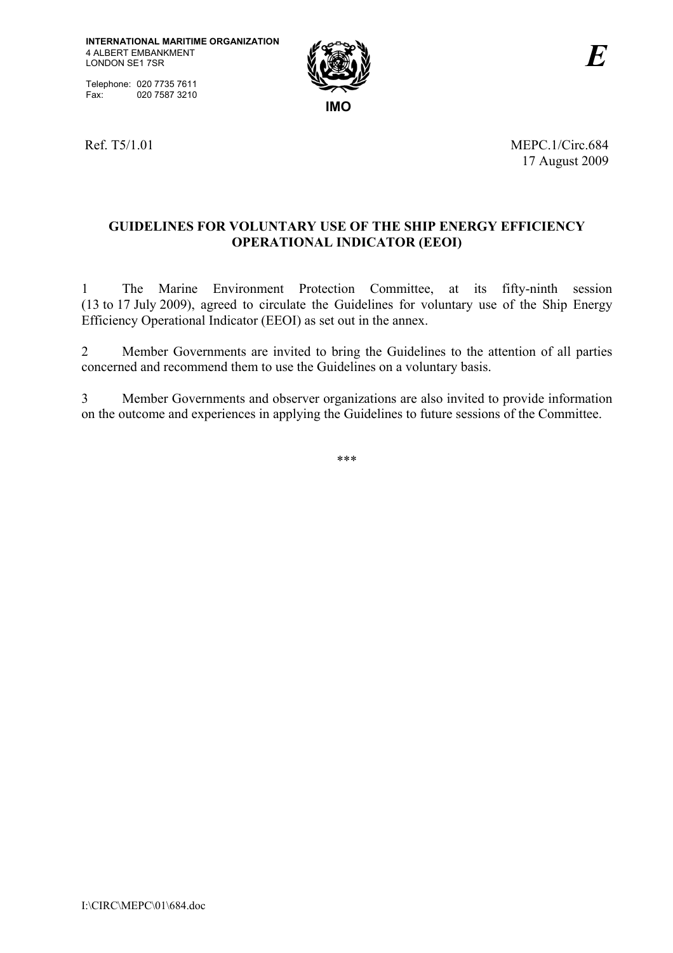Telephone: 020 7735 7611<br>Fax: 020 7587 3210 020 7587 3210



Ref. T5/1.01 MEPC.1/Circ.684 17 August 2009

# **GUIDELINES FOR VOLUNTARY USE OF THE SHIP ENERGY EFFICIENCY OPERATIONAL INDICATOR (EEOI)**

1 The Marine Environment Protection Committee, at its fifty-ninth session (13 to 17 July 2009), agreed to circulate the Guidelines for voluntary use of the Ship Energy Efficiency Operational Indicator (EEOI) as set out in the annex.

2 Member Governments are invited to bring the Guidelines to the attention of all parties concerned and recommend them to use the Guidelines on a voluntary basis.

3 Member Governments and observer organizations are also invited to provide information on the outcome and experiences in applying the Guidelines to future sessions of the Committee.

\*\*\*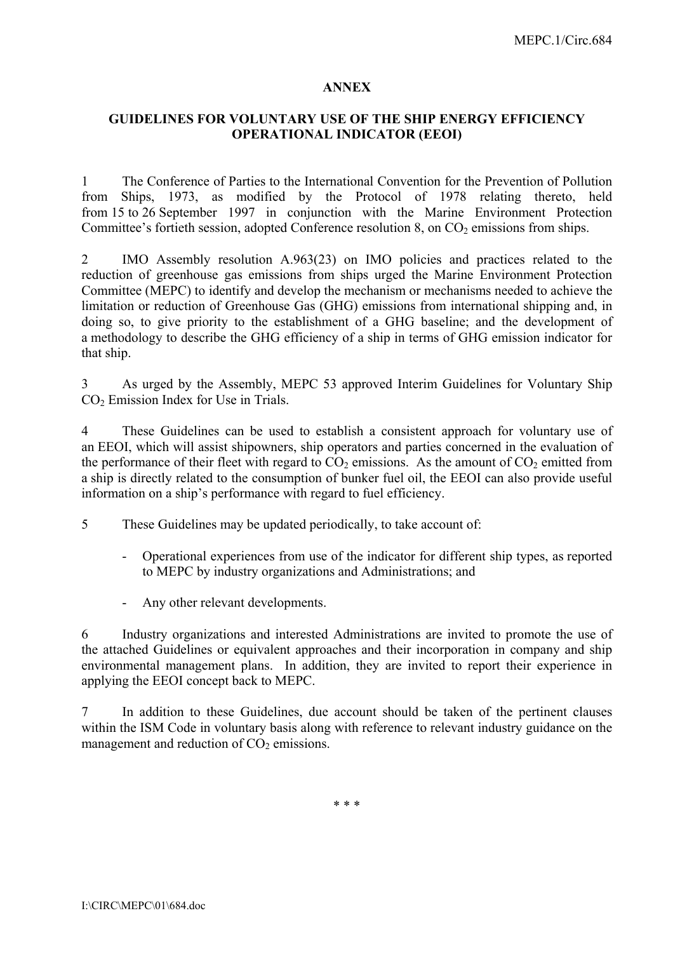#### **ANNEX**

## **GUIDELINES FOR VOLUNTARY USE OF THE SHIP ENERGY EFFICIENCY OPERATIONAL INDICATOR (EEOI)**

1 The Conference of Parties to the International Convention for the Prevention of Pollution from Ships, 1973, as modified by the Protocol of 1978 relating thereto, held from 15 to 26 September 1997 in conjunction with the Marine Environment Protection Committee's fortieth session, adopted Conference resolution 8, on  $CO<sub>2</sub>$  emissions from ships.

2 IMO Assembly resolution A.963(23) on IMO policies and practices related to the reduction of greenhouse gas emissions from ships urged the Marine Environment Protection Committee (MEPC) to identify and develop the mechanism or mechanisms needed to achieve the limitation or reduction of Greenhouse Gas (GHG) emissions from international shipping and, in doing so, to give priority to the establishment of a GHG baseline; and the development of a methodology to describe the GHG efficiency of a ship in terms of GHG emission indicator for that ship.

3 As urged by the Assembly, MEPC 53 approved Interim Guidelines for Voluntary Ship CO<sub>2</sub> Emission Index for Use in Trials.

4 These Guidelines can be used to establish a consistent approach for voluntary use of an EEOI, which will assist shipowners, ship operators and parties concerned in the evaluation of the performance of their fleet with regard to  $CO<sub>2</sub>$  emissions. As the amount of  $CO<sub>2</sub>$  emitted from a ship is directly related to the consumption of bunker fuel oil, the EEOI can also provide useful information on a ship's performance with regard to fuel efficiency.

5 These Guidelines may be updated periodically, to take account of:

- Operational experiences from use of the indicator for different ship types, as reported to MEPC by industry organizations and Administrations; and
- Any other relevant developments.

6 Industry organizations and interested Administrations are invited to promote the use of the attached Guidelines or equivalent approaches and their incorporation in company and ship environmental management plans. In addition, they are invited to report their experience in applying the EEOI concept back to MEPC.

7 In addition to these Guidelines, due account should be taken of the pertinent clauses within the ISM Code in voluntary basis along with reference to relevant industry guidance on the management and reduction of  $CO<sub>2</sub>$  emissions.

\* \* \*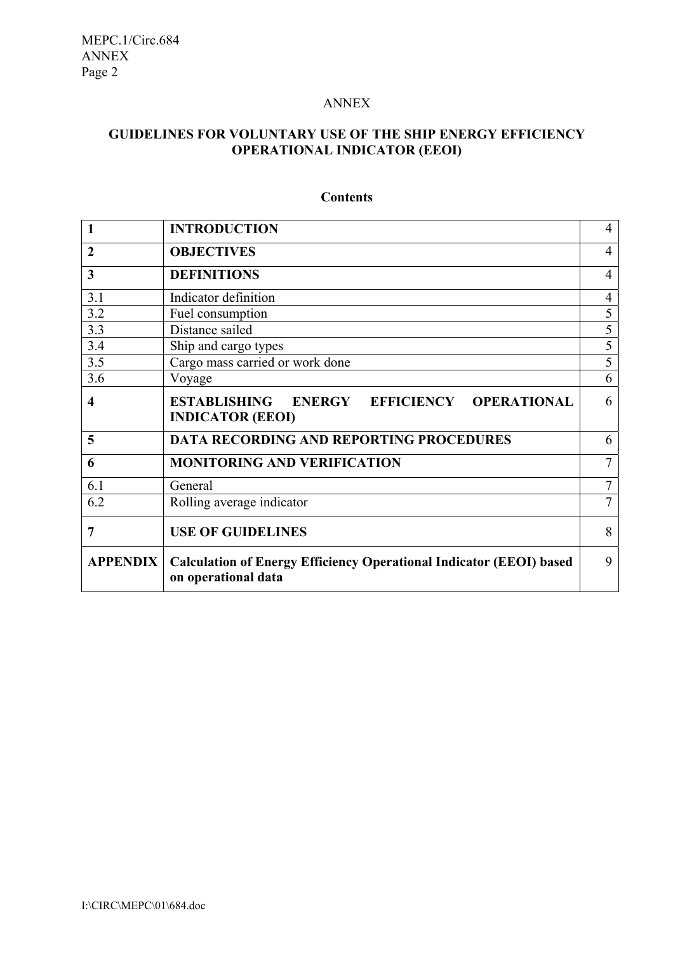### ANNEX

## **GUIDELINES FOR VOLUNTARY USE OF THE SHIP ENERGY EFFICIENCY OPERATIONAL INDICATOR (EEOI)**

|                 | <b>INTRODUCTION</b>                                                                               |                |  |  |
|-----------------|---------------------------------------------------------------------------------------------------|----------------|--|--|
| $\overline{2}$  | <b>OBJECTIVES</b>                                                                                 |                |  |  |
| 3               | <b>DEFINITIONS</b>                                                                                |                |  |  |
| 3.1             | Indicator definition                                                                              | $\overline{4}$ |  |  |
| 3.2             | Fuel consumption                                                                                  | 5              |  |  |
| 3.3             | Distance sailed                                                                                   | 5              |  |  |
| 3.4             | Ship and cargo types                                                                              | 5              |  |  |
| 3.5             | Cargo mass carried or work done                                                                   |                |  |  |
| 3.6             | Voyage                                                                                            |                |  |  |
| 4               | ESTABLISHING ENERGY EFFICIENCY OPERATIONAL<br><b>INDICATOR (EEOI)</b>                             | 6              |  |  |
| 5               | <b>DATA RECORDING AND REPORTING PROCEDURES</b>                                                    | 6              |  |  |
| 6               | <b>MONITORING AND VERIFICATION</b>                                                                |                |  |  |
| 6.1             | General                                                                                           |                |  |  |
| 6.2             | Rolling average indicator                                                                         |                |  |  |
| 7               | <b>USE OF GUIDELINES</b>                                                                          |                |  |  |
| <b>APPENDIX</b> | <b>Calculation of Energy Efficiency Operational Indicator (EEOI) based</b><br>on operational data |                |  |  |

# **Contents**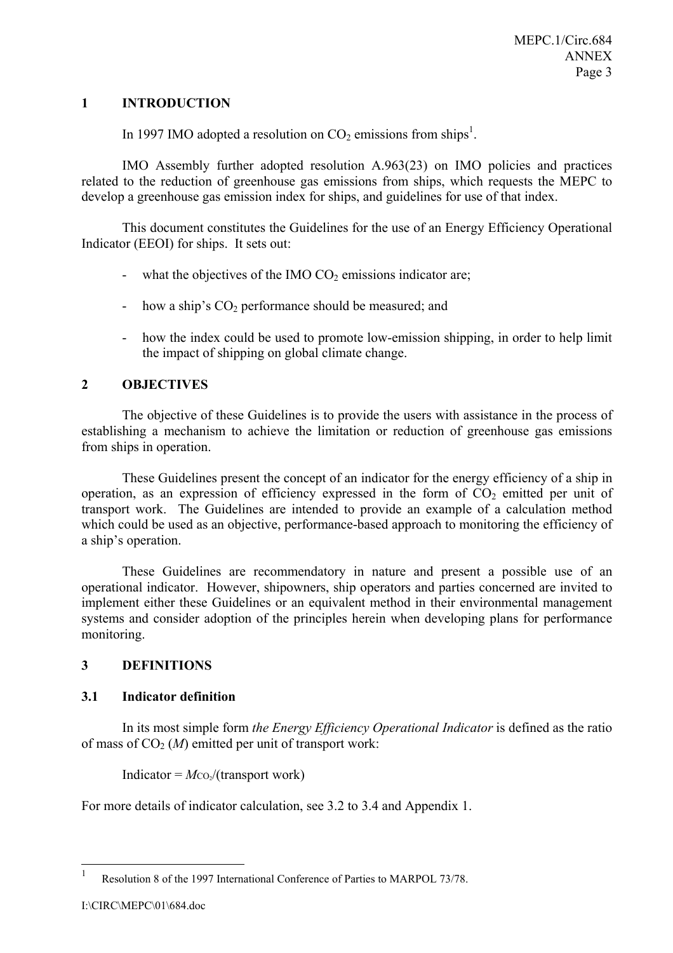### **1 INTRODUCTION**

In 1997 IMO adopted a resolution on  $CO_2$  emissions from ships<sup>1</sup>.

IMO Assembly further adopted resolution A.963(23) on IMO policies and practices related to the reduction of greenhouse gas emissions from ships, which requests the MEPC to develop a greenhouse gas emission index for ships, and guidelines for use of that index.

This document constitutes the Guidelines for the use of an Energy Efficiency Operational Indicator (EEOI) for ships. It sets out:

- what the objectives of the IMO  $CO<sub>2</sub>$  emissions indicator are;
- how a ship's  $CO<sub>2</sub>$  performance should be measured; and
- how the index could be used to promote low-emission shipping, in order to help limit the impact of shipping on global climate change.

### **2 OBJECTIVES**

The objective of these Guidelines is to provide the users with assistance in the process of establishing a mechanism to achieve the limitation or reduction of greenhouse gas emissions from ships in operation.

These Guidelines present the concept of an indicator for the energy efficiency of a ship in operation, as an expression of efficiency expressed in the form of  $CO<sub>2</sub>$  emitted per unit of transport work. The Guidelines are intended to provide an example of a calculation method which could be used as an objective, performance-based approach to monitoring the efficiency of a ship's operation.

These Guidelines are recommendatory in nature and present a possible use of an operational indicator. However, shipowners, ship operators and parties concerned are invited to implement either these Guidelines or an equivalent method in their environmental management systems and consider adoption of the principles herein when developing plans for performance monitoring.

## **3 DEFINITIONS**

### **3.1 Indicator definition**

In its most simple form *the Energy Efficiency Operational Indicator* is defined as the ratio of mass of  $CO<sub>2</sub>(M)$  emitted per unit of transport work:

Indicator  $= M\text{co}/(\text{transport work})$ 

For more details of indicator calculation, see 3.2 to 3.4 and Appendix 1.

 $\,1\,$ Resolution 8 of the 1997 International Conference of Parties to MARPOL 73/78.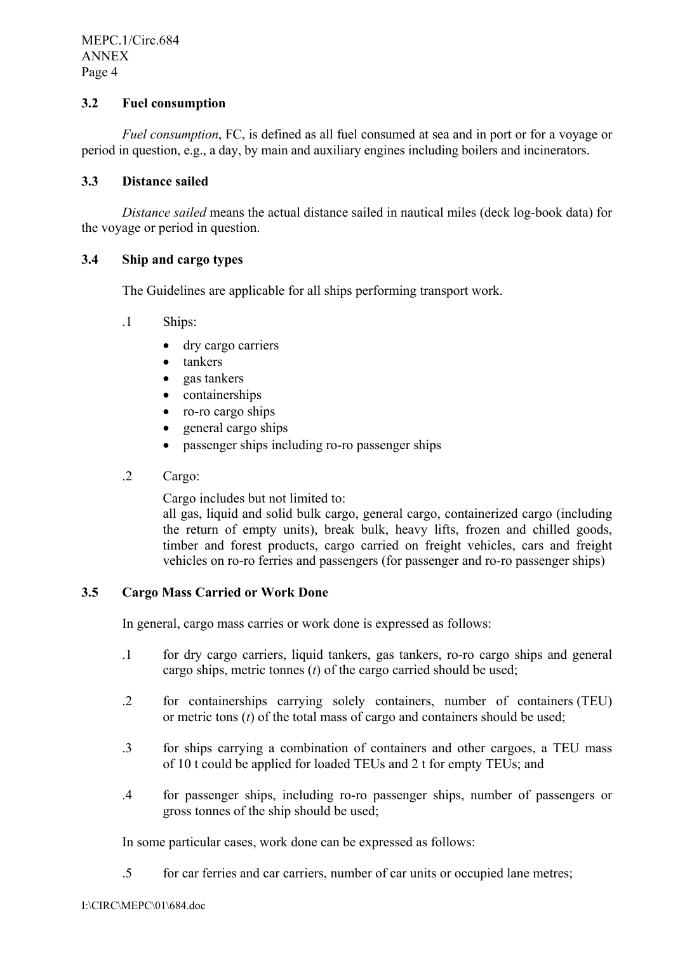MEPC.1/Circ.684 ANNEX Page 4

## **3.2 Fuel consumption**

*Fuel consumption*, FC, is defined as all fuel consumed at sea and in port or for a voyage or period in question, e.g., a day, by main and auxiliary engines including boilers and incinerators.

## **3.3 Distance sailed**

*Distance sailed* means the actual distance sailed in nautical miles (deck log-book data) for the voyage or period in question.

### **3.4 Ship and cargo types**

The Guidelines are applicable for all ships performing transport work.

- .1 Ships:
	- dry cargo carriers
	- tankers
	- gas tankers
	- containerships
	- ro-ro cargo ships
	- general cargo ships
	- passenger ships including ro-ro passenger ships
- .2 Cargo:

Cargo includes but not limited to:

all gas, liquid and solid bulk cargo, general cargo, containerized cargo (including the return of empty units), break bulk, heavy lifts, frozen and chilled goods, timber and forest products, cargo carried on freight vehicles, cars and freight vehicles on ro-ro ferries and passengers (for passenger and ro-ro passenger ships)

## **3.5 Cargo Mass Carried or Work Done**

In general, cargo mass carries or work done is expressed as follows:

- .1 for dry cargo carriers, liquid tankers, gas tankers, ro-ro cargo ships and general cargo ships, metric tonnes (*t*) of the cargo carried should be used;
- .2 for containerships carrying solely containers, number of containers (TEU) or metric tons (*t*) of the total mass of cargo and containers should be used;
- .3 for ships carrying a combination of containers and other cargoes, a TEU mass of 10 t could be applied for loaded TEUs and 2 t for empty TEUs; and
- .4 for passenger ships, including ro-ro passenger ships, number of passengers or gross tonnes of the ship should be used;

In some particular cases, work done can be expressed as follows:

.5 for car ferries and car carriers, number of car units or occupied lane metres;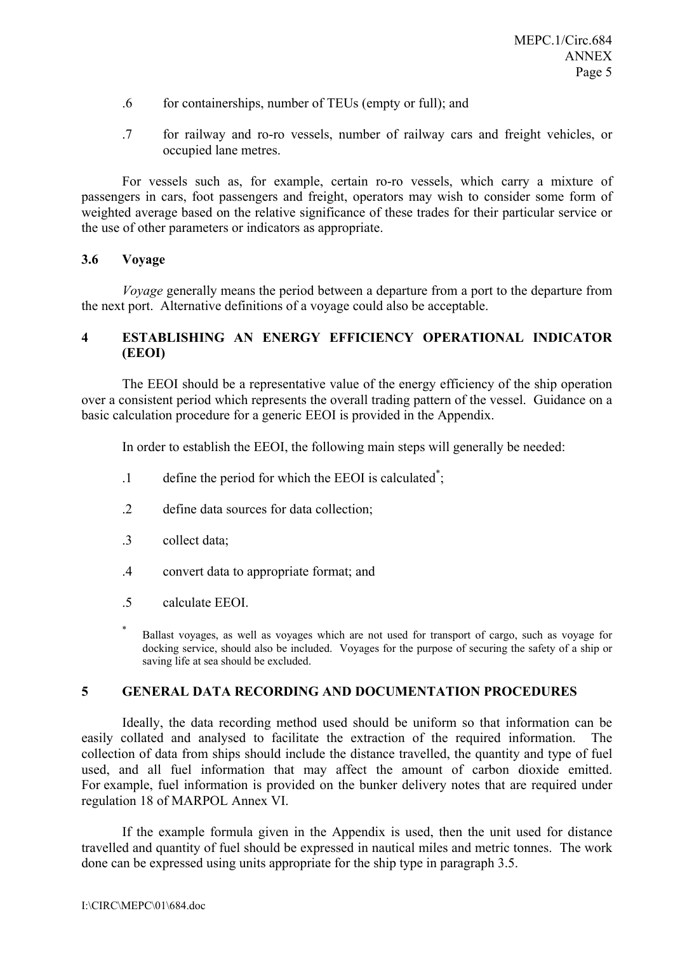- .6 for containerships, number of TEUs (empty or full); and
- .7 for railway and ro-ro vessels, number of railway cars and freight vehicles, or occupied lane metres.

For vessels such as, for example, certain ro-ro vessels, which carry a mixture of passengers in cars, foot passengers and freight, operators may wish to consider some form of weighted average based on the relative significance of these trades for their particular service or the use of other parameters or indicators as appropriate.

### **3.6 Voyage**

*Voyage* generally means the period between a departure from a port to the departure from the next port. Alternative definitions of a voyage could also be acceptable.

## **4 ESTABLISHING AN ENERGY EFFICIENCY OPERATIONAL INDICATOR (EEOI)**

The EEOI should be a representative value of the energy efficiency of the ship operation over a consistent period which represents the overall trading pattern of the vessel. Guidance on a basic calculation procedure for a generic EEOI is provided in the Appendix.

In order to establish the EEOI, the following main steps will generally be needed:

- .1 define the period for which the EEOI is calculated\* ;
- .2 define data sources for data collection;
- .3 collect data;
- .4 convert data to appropriate format; and
- .5 calculate EEOI.
- \* Ballast voyages, as well as voyages which are not used for transport of cargo, such as voyage for docking service, should also be included. Voyages for the purpose of securing the safety of a ship or saving life at sea should be excluded.

## **5 GENERAL DATA RECORDING AND DOCUMENTATION PROCEDURES**

Ideally, the data recording method used should be uniform so that information can be easily collated and analysed to facilitate the extraction of the required information. The collection of data from ships should include the distance travelled, the quantity and type of fuel used, and all fuel information that may affect the amount of carbon dioxide emitted. For example, fuel information is provided on the bunker delivery notes that are required under regulation 18 of MARPOL Annex VI.

If the example formula given in the Appendix is used, then the unit used for distance travelled and quantity of fuel should be expressed in nautical miles and metric tonnes. The work done can be expressed using units appropriate for the ship type in paragraph 3.5.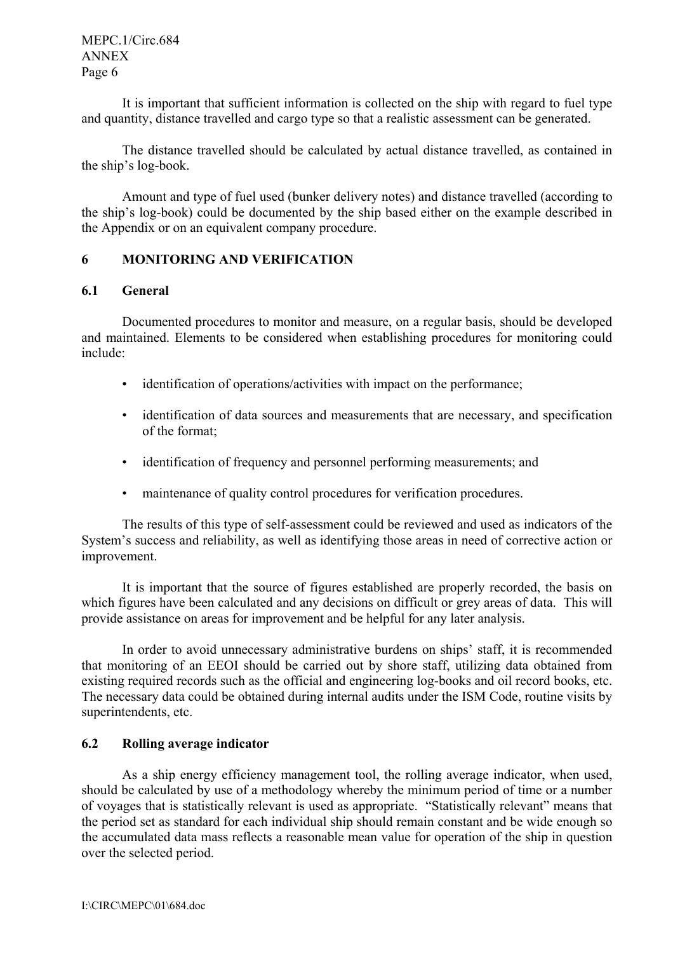MEPC.1/Circ.684 ANNEX Page 6

It is important that sufficient information is collected on the ship with regard to fuel type and quantity, distance travelled and cargo type so that a realistic assessment can be generated.

The distance travelled should be calculated by actual distance travelled, as contained in the ship's log-book.

Amount and type of fuel used (bunker delivery notes) and distance travelled (according to the ship's log-book) could be documented by the ship based either on the example described in the Appendix or on an equivalent company procedure.

## **6 MONITORING AND VERIFICATION**

### **6.1 General**

Documented procedures to monitor and measure, on a regular basis, should be developed and maintained. Elements to be considered when establishing procedures for monitoring could include:

- identification of operations/activities with impact on the performance;
- identification of data sources and measurements that are necessary, and specification of the format;
- identification of frequency and personnel performing measurements; and
- maintenance of quality control procedures for verification procedures.

The results of this type of self-assessment could be reviewed and used as indicators of the System's success and reliability, as well as identifying those areas in need of corrective action or improvement.

It is important that the source of figures established are properly recorded, the basis on which figures have been calculated and any decisions on difficult or grey areas of data. This will provide assistance on areas for improvement and be helpful for any later analysis.

In order to avoid unnecessary administrative burdens on ships' staff, it is recommended that monitoring of an EEOI should be carried out by shore staff, utilizing data obtained from existing required records such as the official and engineering log-books and oil record books, etc. The necessary data could be obtained during internal audits under the ISM Code, routine visits by superintendents, etc.

### **6.2 Rolling average indicator**

As a ship energy efficiency management tool, the rolling average indicator, when used, should be calculated by use of a methodology whereby the minimum period of time or a number of voyages that is statistically relevant is used as appropriate. "Statistically relevant" means that the period set as standard for each individual ship should remain constant and be wide enough so the accumulated data mass reflects a reasonable mean value for operation of the ship in question over the selected period.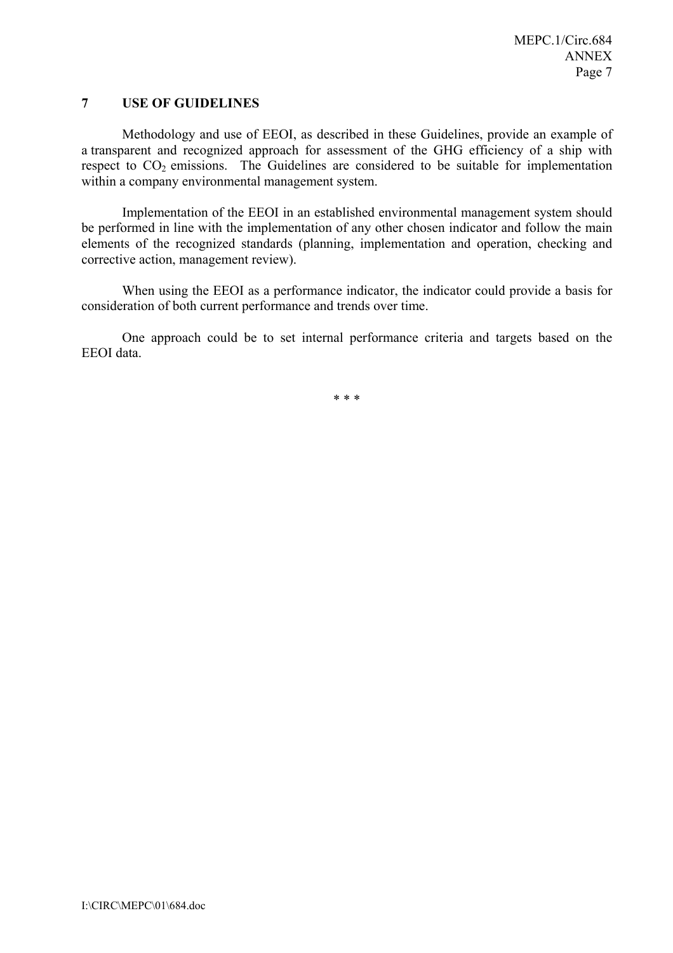### **7 USE OF GUIDELINES**

Methodology and use of EEOI, as described in these Guidelines, provide an example of a transparent and recognized approach for assessment of the GHG efficiency of a ship with respect to  $CO<sub>2</sub>$  emissions. The Guidelines are considered to be suitable for implementation within a company environmental management system.

Implementation of the EEOI in an established environmental management system should be performed in line with the implementation of any other chosen indicator and follow the main elements of the recognized standards (planning, implementation and operation, checking and corrective action, management review).

When using the EEOI as a performance indicator, the indicator could provide a basis for consideration of both current performance and trends over time.

One approach could be to set internal performance criteria and targets based on the EEOI data.

\* \* \*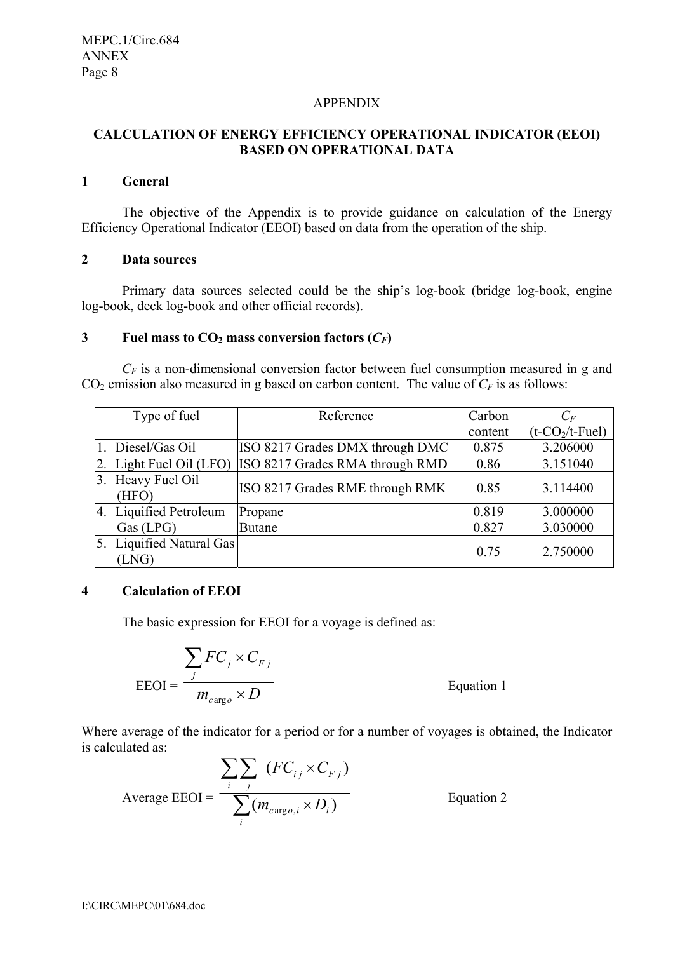#### APPENDIX

## **CALCULATION OF ENERGY EFFICIENCY OPERATIONAL INDICATOR (EEOI) BASED ON OPERATIONAL DATA**

#### **1 General**

 The objective of the Appendix is to provide guidance on calculation of the Energy Efficiency Operational Indicator (EEOI) based on data from the operation of the ship.

#### **2 Data sources**

 Primary data sources selected could be the ship's log-book (bridge log-book, engine log-book, deck log-book and other official records).

#### **3** Fuel mass to  $CO<sub>2</sub>$  mass conversion factors  $(C_F)$

*C<sub>F</sub>* is a non-dimensional conversion factor between fuel consumption measured in g and  $CO<sub>2</sub>$  emission also measured in g based on carbon content. The value of  $C<sub>F</sub>$  is as follows:

| Type of fuel                      | Reference                       | Carbon  | $C_F$                          |
|-----------------------------------|---------------------------------|---------|--------------------------------|
|                                   |                                 | content | $(t$ -CO <sub>2</sub> /t-Fuel) |
| 1. Diesel/Gas Oil                 | ISO 8217 Grades DMX through DMC | 0.875   | 3.206000                       |
| 2. Light Fuel Oil (LFO)           | ISO 8217 Grades RMA through RMD | 0.86    | 3.151040                       |
| 3. Heavy Fuel Oil<br>(HFO)        | ISO 8217 Grades RME through RMK | 0.85    | 3.114400                       |
| 4. Liquified Petroleum            | Propane                         | 0.819   | 3.000000                       |
| Gas (LPG)                         | <b>Butane</b>                   | 0.827   | 3.030000                       |
| 5. Liquified Natural Gas<br>(LNG) |                                 | 0.75    | 2.750000                       |

### **4 Calculation of EEOI**

The basic expression for EEOI for a voyage is defined as:

$$
EEOI = \frac{\sum_{j} FC_{j} \times C_{Fj}}{m_{cargo} \times D}
$$

Equation 1

Where average of the indicator for a period or for a number of voyages is obtained, the Indicator is calculated as:

$$
\text{Average EEOI} = \frac{\sum_{i} \sum_{j} (FC_{ij} \times C_{Fj})}{\sum_{i} (m_{cargo,i} \times D_i)} \qquad \text{Equation 2}
$$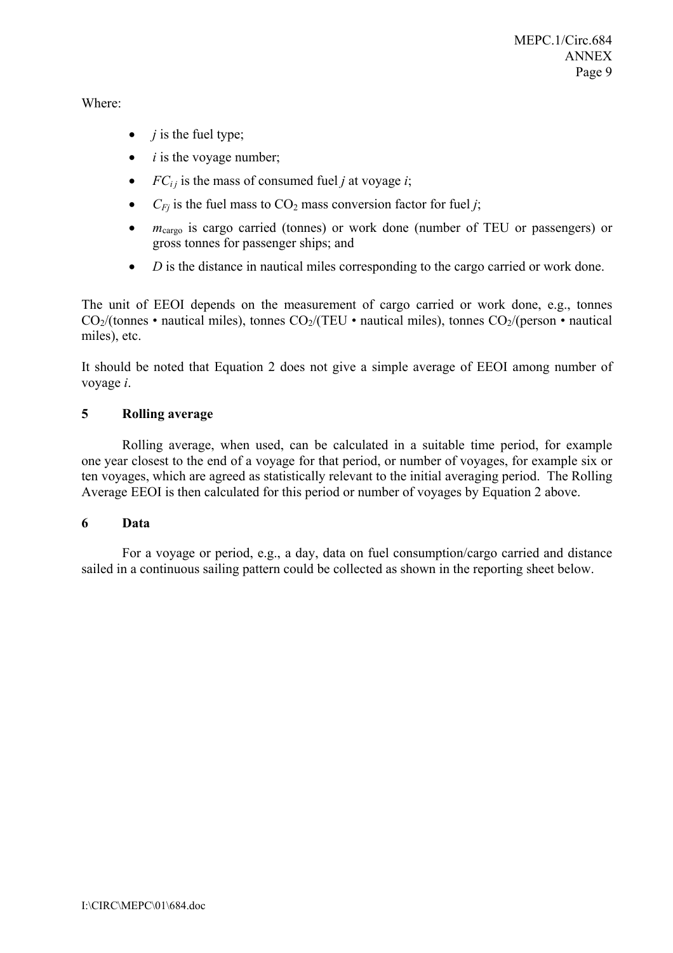Where:

- $\bullet$  *j* is the fuel type;
- $\bullet$  *i* is the voyage number;
- $FC_{ij}$  is the mass of consumed fuel *j* at voyage *i*;
- $C_{Fi}$  is the fuel mass to  $CO_2$  mass conversion factor for fuel *j*;
- *m*<sub>cargo</sub> is cargo carried (tonnes) or work done (number of TEU or passengers) or gross tonnes for passenger ships; and
- *D* is the distance in nautical miles corresponding to the cargo carried or work done.

The unit of EEOI depends on the measurement of cargo carried or work done, e.g., tonnes  $CO_2/(tonnes \cdot nautical miles)$ , tonnes  $CO_2/(TEU \cdot nautical miles)$ , tonnes  $CO_2/(person \cdot nautical)$ miles), etc.

It should be noted that Equation 2 does not give a simple average of EEOI among number of voyage *i*.

### **5 Rolling average**

Rolling average, when used, can be calculated in a suitable time period, for example one year closest to the end of a voyage for that period, or number of voyages, for example six or ten voyages, which are agreed as statistically relevant to the initial averaging period. The Rolling Average EEOI is then calculated for this period or number of voyages by Equation 2 above.

### **6 Data**

For a voyage or period, e.g., a day, data on fuel consumption/cargo carried and distance sailed in a continuous sailing pattern could be collected as shown in the reporting sheet below.